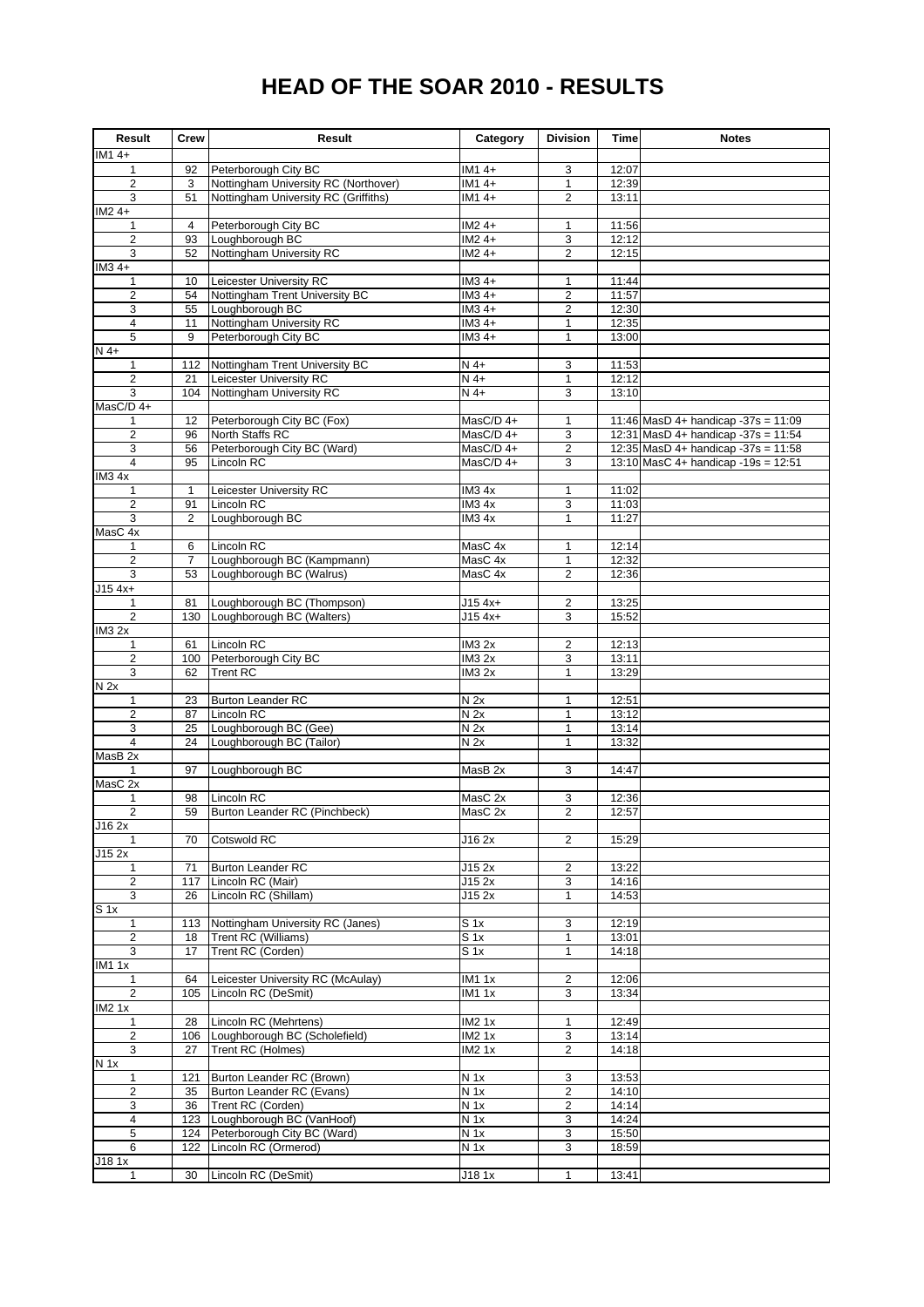## **HEAD OF THE SOAR 2010 - RESULTS**

| Result                                    | <b>Crew</b>    | Result                                                       | Category                      | <b>Division</b>                | Time           | <b>Notes</b>                        |
|-------------------------------------------|----------------|--------------------------------------------------------------|-------------------------------|--------------------------------|----------------|-------------------------------------|
| IM1 4+                                    |                |                                                              |                               |                                |                |                                     |
| 1<br>$\overline{\mathbf{c}}$              | 92<br>3        | Peterborough City BC<br>Nottingham University RC (Northover) | IM1 4+<br>IM1 4+              | 3                              | 12:07<br>12:39 |                                     |
| 3                                         | 51             | Nottingham University RC (Griffiths)                         | IM1 4+                        | $\mathbf{1}$<br>$\overline{c}$ | 13:11          |                                     |
| $IM24+$                                   |                |                                                              |                               |                                |                |                                     |
| 1                                         | 4              | Peterborough City BC                                         | IM2 4+                        | $\mathbf{1}$                   | 11:56          |                                     |
| 2                                         | 93             | Loughborough BC                                              | $IM24+$                       | 3                              | 12:12          |                                     |
| 3                                         | 52             | Nottingham University RC                                     | $IM24+$                       | $\overline{2}$                 | 12:15          |                                     |
| IM3 4+                                    |                |                                                              |                               |                                |                |                                     |
| 1                                         | 10             | Leicester University RC                                      | $IM34+$                       | $\mathbf{1}$                   | 11:44          |                                     |
| $\overline{2}$                            | 54             | Nottingham Trent University BC                               | $IM34+$                       | $\overline{c}$                 | 11:57          |                                     |
| 3                                         | 55             | Loughborough BC<br>Nottingham University RC                  | $IM34+$                       | $\overline{2}$                 | 12:30          |                                     |
| $\overline{\mathbf{4}}$<br>$\overline{5}$ | 11<br>9        | Peterborough City BC                                         | $IM34+$<br>$IM34+$            | $\mathbf{1}$<br>$\mathbf{1}$   | 12:35<br>13:00 |                                     |
| $N$ 4+                                    |                |                                                              |                               |                                |                |                                     |
| $\mathbf{1}$                              | 112            | Nottingham Trent University BC                               | $N$ 4+                        | 3                              | 11:53          |                                     |
| $\overline{2}$                            | 21             | Leicester University RC                                      | $N$ 4+                        | $\mathbf{1}$                   | 12:12          |                                     |
| 3                                         | 104            | Nottingham University RC                                     | $N$ 4+                        | 3                              | 13:10          |                                     |
| MasC/D 4+                                 |                |                                                              |                               |                                |                |                                     |
| 1                                         | 12             | Peterborough City BC (Fox)                                   | MasC/D 4+                     | $\mathbf{1}$                   |                | 11:46 MasD 4+ handicap -37s = 11:09 |
| $\overline{\mathbf{c}}$                   | 96             | North Staffs RC                                              | MasC/D 4+                     | 3                              |                | 12:31 MasD 4+ handicap -37s = 11:54 |
| 3                                         | 56             | Peterborough City BC (Ward)                                  | MasC/D 4+                     | $\overline{2}$                 |                | 12:35 MasD 4+ handicap -37s = 11:58 |
| $\overline{4}$                            | 95             | Lincoln RC                                                   | MasC/D 4+                     | 3                              |                | 13:10 MasC 4+ handicap -19s = 12:51 |
| IM34x<br>1                                | $\mathbf{1}$   | Leicester University RC                                      | IM <sub>3</sub> 4x            | $\mathbf{1}$                   | 11:02          |                                     |
| $\overline{2}$                            | 91             | Lincoln RC                                                   | IM34x                         | 3                              | 11:03          |                                     |
| 3                                         | 2              | Loughborough BC                                              | IM34x                         | $\mathbf{1}$                   | 11:27          |                                     |
| MasC 4x                                   |                |                                                              |                               |                                |                |                                     |
| 1                                         | 6              | Lincoln RC                                                   | MasC 4x                       | $\mathbf{1}$                   | 12:14          |                                     |
| $\overline{2}$                            | $\overline{7}$ | Loughborough BC (Kampmann)                                   | MasC 4x                       | $\mathbf{1}$                   | 12:32          |                                     |
| 3                                         | 53             | Loughborough BC (Walrus)                                     | MasC 4x                       | $\overline{\mathbf{c}}$        | 12:36          |                                     |
| $J15$ 4x+                                 |                |                                                              |                               |                                |                |                                     |
| 1                                         | 81             | Loughborough BC (Thompson)                                   | $J15$ 4x+                     | 2                              | 13:25          |                                     |
| $\overline{2}$<br>IM32x                   | 130            | Loughborough BC (Walters)                                    | $J154x+$                      | 3                              | 15:52          |                                     |
| 1                                         | 61             | Lincoln RC                                                   | <b>IM3 2x</b>                 | $\overline{c}$                 | 12:13          |                                     |
| $\overline{\mathbf{c}}$                   | 100            | Peterborough City BC                                         | <b>IM3 2x</b>                 | 3                              | 13:11          |                                     |
| 3                                         | 62             | <b>Trent RC</b>                                              | <b>IM3 2x</b>                 | $\mathbf{1}$                   | 13:29          |                                     |
| N <sub>2x</sub>                           |                |                                                              |                               |                                |                |                                     |
| 1                                         | 23             | <b>Burton Leander RC</b>                                     | N <sub>2x</sub>               | $\mathbf{1}$                   | 12:51          |                                     |
| $\overline{2}$                            | 87             | Lincoln RC                                                   | N <sub>2x</sub>               | $\mathbf{1}$                   | 13:12          |                                     |
| 3                                         | 25             | Loughborough BC (Gee)                                        | N <sub>2x</sub>               | $\mathbf{1}$                   | 13:14          |                                     |
| $\overline{4}$                            | 24             | Loughborough BC (Tailor)                                     | N <sub>2x</sub>               | $\mathbf{1}$                   | 13:32          |                                     |
| MasB 2x<br>$\mathbf{1}$                   | 97             | Loughborough BC                                              | MasB <sub>2x</sub>            | 3                              | 14:47          |                                     |
| MasC 2x                                   |                |                                                              |                               |                                |                |                                     |
| 1                                         | 98             | Lincoln RC                                                   | MasC 2x                       | 3                              | 12:36          |                                     |
| $\overline{2}$                            | 59             | Burton Leander RC (Pinchbeck)                                | MasC 2x                       | $\overline{2}$                 | 12:57          |                                     |
| J16 2x                                    |                |                                                              |                               |                                |                |                                     |
| $\mathbf{1}$                              | 70             | <b>Cotswold RC</b>                                           | J16 2x                        | $\overline{\mathbf{c}}$        | 15:29          |                                     |
| J15 2x                                    |                |                                                              |                               |                                |                |                                     |
| $\mathbf{1}$                              | 71             | <b>Burton Leander RC</b>                                     | J15 2x                        | $\overline{c}$                 | 13:22          |                                     |
| $\overline{2}$<br>$\overline{3}$          | 117<br>26      | Lincoln RC (Mair)<br>Lincoln RC (Shillam)                    | J15 2x<br>J15 2x              | 3<br>$\mathbf{1}$              | 14:16<br>14:53 |                                     |
| S <sub>1x</sub>                           |                |                                                              |                               |                                |                |                                     |
| $\mathbf{1}$                              | 113            | Nottingham University RC (Janes)                             | $S_1x$                        | 3                              | 12:19          |                                     |
| $\overline{2}$                            | 18             | Trent RC (Williams)                                          | $S_1x$                        | $\mathbf{1}$                   | 13:01          |                                     |
| 3                                         | 17             | Trent RC (Corden)                                            | $S_1x$                        | $\mathbf{1}$                   | 14:18          |                                     |
| <b>IM11x</b>                              |                |                                                              |                               |                                |                |                                     |
| $\mathbf{1}$                              | 64             | Leicester University RC (McAulay)                            | <b>IM11x</b>                  | $\overline{c}$                 | 12:06          |                                     |
| $\overline{2}$                            | 105            | Lincoln RC (DeSmit)                                          | <b>IM11x</b>                  | 3                              | 13:34          |                                     |
| <b>IM2 1x</b>                             |                |                                                              |                               |                                |                |                                     |
| $\mathbf{1}$                              | 28             | Lincoln RC (Mehrtens)                                        | IM21x                         | 1                              | 12:49          |                                     |
| $\overline{2}$<br>3                       | 106<br>27      | Loughborough BC (Scholefield)<br>Trent RC (Holmes)           | <b>IM21x</b><br><b>IM2 1x</b> | 3<br>$\overline{\mathbf{c}}$   | 13:14<br>14:18 |                                     |
| N <sub>1x</sub>                           |                |                                                              |                               |                                |                |                                     |
| $\mathbf{1}$                              | 121            | Burton Leander RC (Brown)                                    | N <sub>1x</sub>               | 3                              | 13:53          |                                     |
| $\overline{2}$                            | 35             | Burton Leander RC (Evans)                                    | N <sub>1x</sub>               | $\overline{2}$                 | 14:10          |                                     |
| 3                                         | 36             | Trent RC (Corden)                                            | N <sub>1x</sub>               | $\overline{\mathbf{c}}$        | 14:14          |                                     |
| $\overline{4}$                            | 123            | Loughborough BC (VanHoof)                                    | N <sub>1x</sub>               | 3                              | 14:24          |                                     |
| 5                                         | 124            | Peterborough City BC (Ward)                                  | N <sub>1x</sub>               | 3                              | 15:50          |                                     |
| 6                                         | 122            | Lincoln RC (Ormerod)                                         | $N$ 1x                        | 3                              | 18:59          |                                     |
| J18 1x<br>$\mathbf{1}$                    | 30             | Lincoln RC (DeSmit)                                          | J18 1x                        | $\mathbf{1}$                   | 13:41          |                                     |
|                                           |                |                                                              |                               |                                |                |                                     |